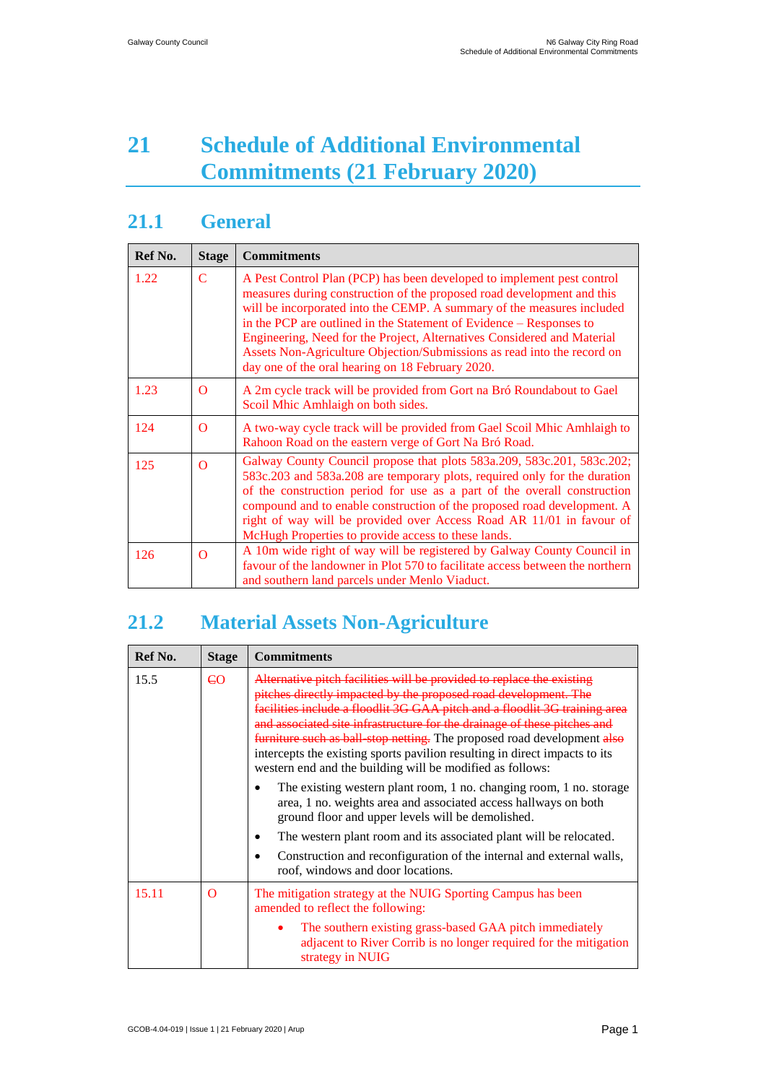# **21 Schedule of Additional Environmental Commitments (21 February 2020)**

### **21.1 General**

| Ref No. | <b>Stage</b>   | <b>Commitments</b>                                                                                                                                                                                                                                                                                                                                                                                                                                                                                          |
|---------|----------------|-------------------------------------------------------------------------------------------------------------------------------------------------------------------------------------------------------------------------------------------------------------------------------------------------------------------------------------------------------------------------------------------------------------------------------------------------------------------------------------------------------------|
| 1.22    | $\overline{C}$ | A Pest Control Plan (PCP) has been developed to implement pest control<br>measures during construction of the proposed road development and this<br>will be incorporated into the CEMP. A summary of the measures included<br>in the PCP are outlined in the Statement of Evidence – Responses to<br>Engineering, Need for the Project, Alternatives Considered and Material<br>Assets Non-Agriculture Objection/Submissions as read into the record on<br>day one of the oral hearing on 18 February 2020. |
| 1.23    | $\Omega$       | A 2m cycle track will be provided from Gort na Bró Roundabout to Gael<br>Scoil Mhic Amhlaigh on both sides.                                                                                                                                                                                                                                                                                                                                                                                                 |
| 124     | $\Omega$       | A two-way cycle track will be provided from Gael Scoil Mhic Amhlaigh to<br>Rahoon Road on the eastern verge of Gort Na Bró Road.                                                                                                                                                                                                                                                                                                                                                                            |
| 125     | $\Omega$       | Galway County Council propose that plots 583a.209, 583c.201, 583c.202;<br>583c.203 and 583a.208 are temporary plots, required only for the duration<br>of the construction period for use as a part of the overall construction<br>compound and to enable construction of the proposed road development. A<br>right of way will be provided over Access Road AR 11/01 in favour of<br>McHugh Properties to provide access to these lands.                                                                   |
| 126     | $\Omega$       | A 10m wide right of way will be registered by Galway County Council in<br>favour of the landowner in Plot 570 to facilitate access between the northern<br>and southern land parcels under Menlo Viaduct.                                                                                                                                                                                                                                                                                                   |

## **21.2 Material Assets Non-Agriculture**

| Ref No. | <b>Stage</b>   | <b>Commitments</b>                                                                                                                                                                                                                                                                                                                                                                                                                                                                                                              |
|---------|----------------|---------------------------------------------------------------------------------------------------------------------------------------------------------------------------------------------------------------------------------------------------------------------------------------------------------------------------------------------------------------------------------------------------------------------------------------------------------------------------------------------------------------------------------|
| 15.5    | C <sub>O</sub> | Alternative pitch facilities will be provided to replace the existing<br>pitches directly impacted by the proposed road development. The<br>facilities include a floodlit 3G GAA pitch and a floodlit 3G training area<br>and associated site infrastructure for the drainage of these pitches and<br><b>furniture such as ball stop netting.</b> The proposed road development also<br>intercepts the existing sports pavilion resulting in direct impacts to its<br>western end and the building will be modified as follows: |
|         |                | The existing western plant room, 1 no. changing room, 1 no. storage<br>area, 1 no. weights area and associated access hallways on both<br>ground floor and upper levels will be demolished.                                                                                                                                                                                                                                                                                                                                     |
|         |                | The western plant room and its associated plant will be relocated.                                                                                                                                                                                                                                                                                                                                                                                                                                                              |
|         |                | Construction and reconfiguration of the internal and external walls,<br>roof, windows and door locations.                                                                                                                                                                                                                                                                                                                                                                                                                       |
| 15.11   | $\Omega$       | The mitigation strategy at the NUIG Sporting Campus has been<br>amended to reflect the following:                                                                                                                                                                                                                                                                                                                                                                                                                               |
|         |                | The southern existing grass-based GAA pitch immediately<br>adjacent to River Corrib is no longer required for the mitigation<br>strategy in NUIG                                                                                                                                                                                                                                                                                                                                                                                |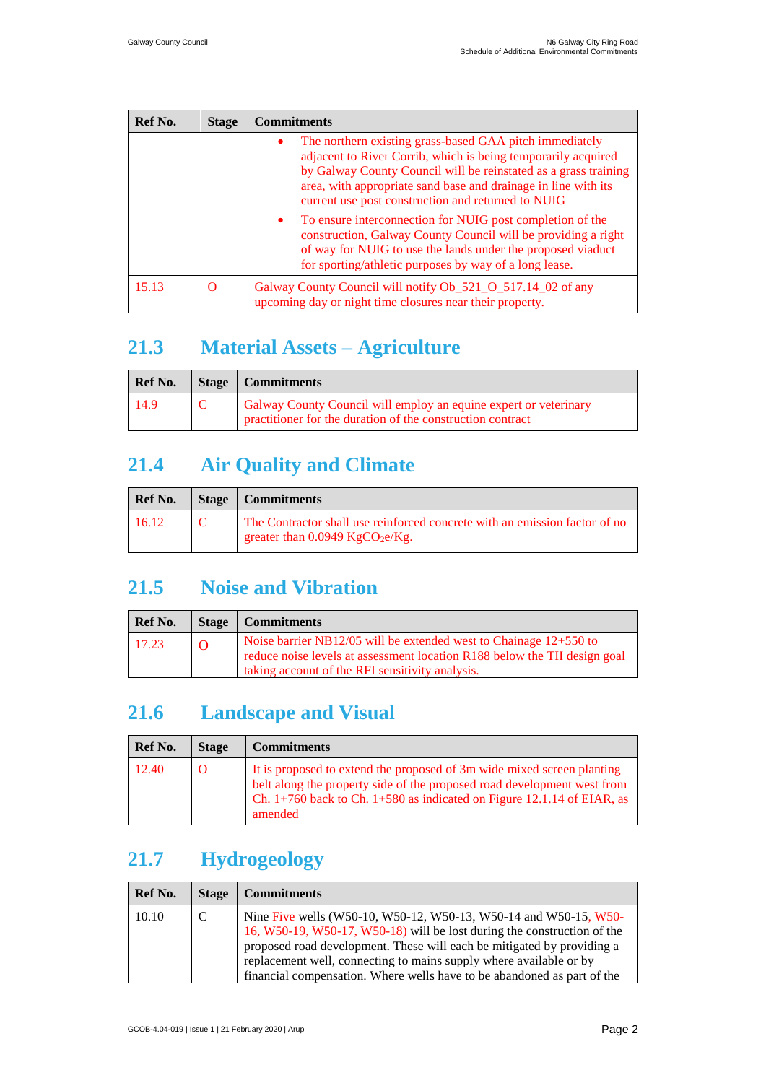| Ref No. | <b>Stage</b> | <b>Commitments</b>                                                                                                                                                                                                                                                                                                       |
|---------|--------------|--------------------------------------------------------------------------------------------------------------------------------------------------------------------------------------------------------------------------------------------------------------------------------------------------------------------------|
|         |              | The northern existing grass-based GAA pitch immediately<br>٠<br>adjacent to River Corrib, which is being temporarily acquired<br>by Galway County Council will be reinstated as a grass training<br>area, with appropriate sand base and drainage in line with its<br>current use post construction and returned to NUIG |
|         |              | To ensure interconnection for NUIG post completion of the<br>$\bullet$<br>construction, Galway County Council will be providing a right<br>of way for NUIG to use the lands under the proposed viaduct<br>for sporting/athletic purposes by way of a long lease.                                                         |
| 15.13   | O            | Galway County Council will notify Ob_521_O_517.14_02 of any<br>upcoming day or night time closures near their property.                                                                                                                                                                                                  |

## **21.3 Material Assets – Agriculture**

| <b>Ref No.</b> | Stage   Commitments                                                                                                            |
|----------------|--------------------------------------------------------------------------------------------------------------------------------|
| 14.9           | Galway County Council will employ an equine expert or veterinary<br>practitioner for the duration of the construction contract |

## **21.4 Air Quality and Climate**

| Ref No. | <b>Stage</b>   Commitments                                                                                                  |
|---------|-----------------------------------------------------------------------------------------------------------------------------|
| 16.12   | The Contractor shall use reinforced concrete with an emission factor of no<br>greater than $0.0949$ KgCO <sub>2</sub> e/Kg. |

#### **21.5 Noise and Vibration**

| Ref No. | Stage          | <b>Commitments</b>                                                                                                                                                                                  |
|---------|----------------|-----------------------------------------------------------------------------------------------------------------------------------------------------------------------------------------------------|
| 17.23   | $\overline{0}$ | Noise barrier NB12/05 will be extended west to Chainage $12+550$ to<br>reduce noise levels at assessment location R188 below the TII design goal<br>taking account of the RFI sensitivity analysis. |

### **21.6 Landscape and Visual**

| Ref No. | <b>Stage</b> | <b>Commitments</b>                                                                                                                                                                                                                         |
|---------|--------------|--------------------------------------------------------------------------------------------------------------------------------------------------------------------------------------------------------------------------------------------|
| 12.40   |              | It is proposed to extend the proposed of 3m wide mixed screen planting<br>belt along the property side of the proposed road development west from<br>Ch. $1+760$ back to Ch. $1+580$ as indicated on Figure 12.1.14 of EIAR, as<br>amended |

### **21.7 Hydrogeology**

| Ref No. | <b>Stage</b> | <b>Commitments</b>                                                                                                                                                                                                                                                                                                                                                     |
|---------|--------------|------------------------------------------------------------------------------------------------------------------------------------------------------------------------------------------------------------------------------------------------------------------------------------------------------------------------------------------------------------------------|
| 10.10   | C            | Nine Five wells (W50-10, W50-12, W50-13, W50-14 and W50-15, W50-<br>16, W50-19, W50-17, W50-18) will be lost during the construction of the<br>proposed road development. These will each be mitigated by providing a<br>replacement well, connecting to mains supply where available or by<br>financial compensation. Where wells have to be abandoned as part of the |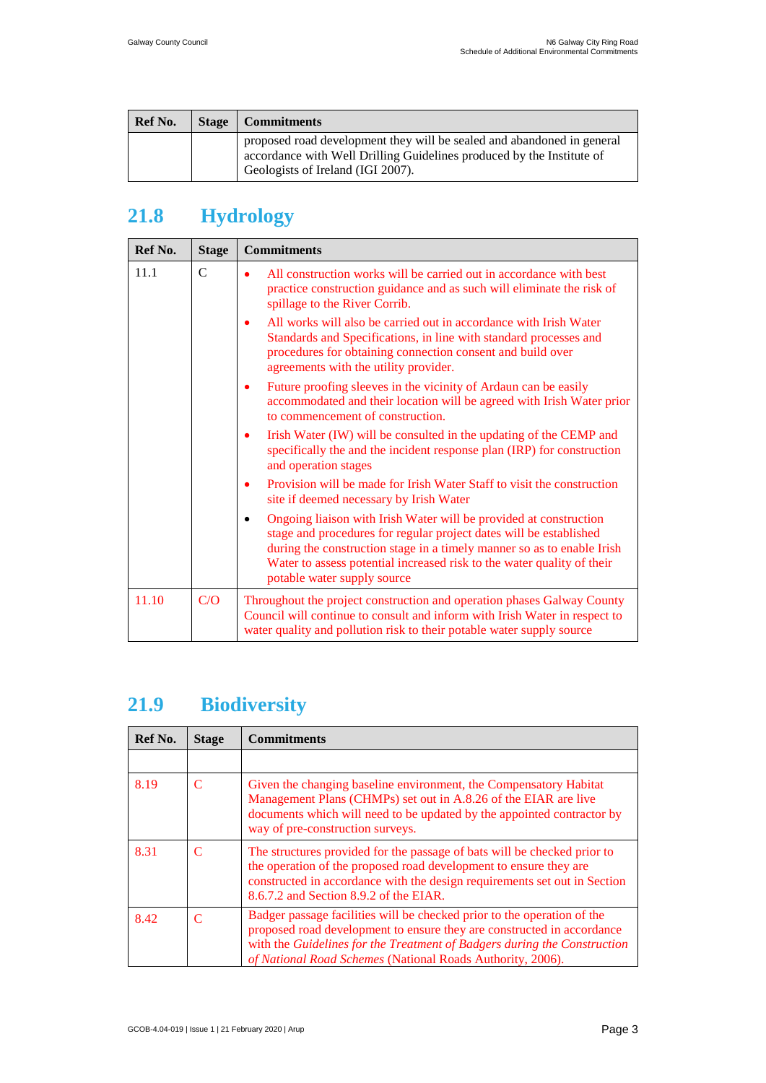| Ref No. | <b>Stage</b> | Commitments                                                                                                                                                                          |
|---------|--------------|--------------------------------------------------------------------------------------------------------------------------------------------------------------------------------------|
|         |              | proposed road development they will be sealed and abandoned in general<br>accordance with Well Drilling Guidelines produced by the Institute of<br>Geologists of Ireland (IGI 2007). |

## **21.8 Hydrology**

| Ref No. | <b>Stage</b> | <b>Commitments</b>                                                                                                                                                                                                                                                                                                                      |
|---------|--------------|-----------------------------------------------------------------------------------------------------------------------------------------------------------------------------------------------------------------------------------------------------------------------------------------------------------------------------------------|
| 11.1    | $\mathsf{C}$ | All construction works will be carried out in accordance with best<br>$\bullet$<br>practice construction guidance and as such will eliminate the risk of<br>spillage to the River Corrib.                                                                                                                                               |
|         |              | All works will also be carried out in accordance with Irish Water<br>٠<br>Standards and Specifications, in line with standard processes and<br>procedures for obtaining connection consent and build over<br>agreements with the utility provider.                                                                                      |
|         |              | Future proofing sleeves in the vicinity of Ardaun can be easily<br>٠<br>accommodated and their location will be agreed with Irish Water prior<br>to commencement of construction.                                                                                                                                                       |
|         |              | Irish Water (IW) will be consulted in the updating of the CEMP and<br>٠<br>specifically the and the incident response plan (IRP) for construction<br>and operation stages                                                                                                                                                               |
|         |              | Provision will be made for Irish Water Staff to visit the construction<br>٠<br>site if deemed necessary by Irish Water                                                                                                                                                                                                                  |
|         |              | Ongoing liaison with Irish Water will be provided at construction<br>$\bullet$<br>stage and procedures for regular project dates will be established<br>during the construction stage in a timely manner so as to enable Irish<br>Water to assess potential increased risk to the water quality of their<br>potable water supply source |
| 11.10   | C/O          | Throughout the project construction and operation phases Galway County<br>Council will continue to consult and inform with Irish Water in respect to<br>water quality and pollution risk to their potable water supply source                                                                                                           |

## **21.9 Biodiversity**

| Ref No. | <b>Stage</b>                | <b>Commitments</b>                                                                                                                                                                                                                                                                          |
|---------|-----------------------------|---------------------------------------------------------------------------------------------------------------------------------------------------------------------------------------------------------------------------------------------------------------------------------------------|
|         |                             |                                                                                                                                                                                                                                                                                             |
| 8.19    | $\mathcal{C}$               | Given the changing baseline environment, the Compensatory Habitat<br>Management Plans (CHMPs) set out in A.8.26 of the EIAR are live<br>documents which will need to be updated by the appointed contractor by<br>way of pre-construction surveys.                                          |
| 8.31    | $\mathcal{C}_{\mathcal{C}}$ | The structures provided for the passage of bats will be checked prior to<br>the operation of the proposed road development to ensure they are<br>constructed in accordance with the design requirements set out in Section<br>8.6.7.2 and Section 8.9.2 of the EIAR.                        |
| 8.42    | $\mathcal{C}$               | Badger passage facilities will be checked prior to the operation of the<br>proposed road development to ensure they are constructed in accordance<br>with the Guidelines for the Treatment of Badgers during the Construction<br>of National Road Schemes (National Roads Authority, 2006). |